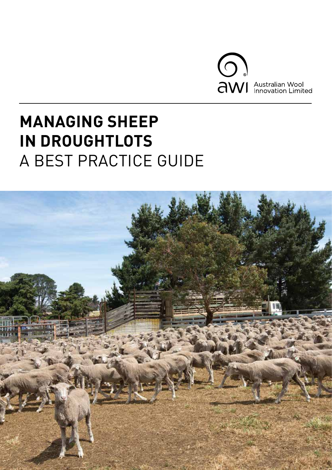

# **MANAGING SHEEP IN DROUGHTLOTS** A BEST PRACTICE GUIDE

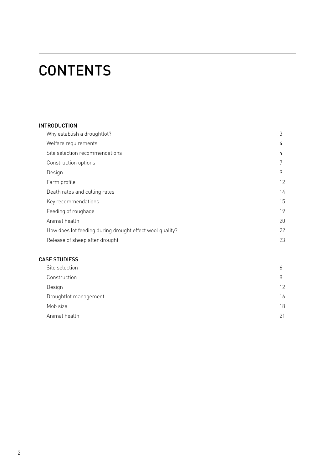# **CONTENTS**

## INTRODUCTION

| Why establish a droughtlot?                              | 3  |
|----------------------------------------------------------|----|
| Welfare requirements                                     | 4  |
| Site selection recommendations                           | 4  |
| Construction options                                     | 7  |
| Design                                                   | 9  |
| Farm profile                                             | 12 |
| Death rates and culling rates                            | 14 |
| Key recommendations                                      | 15 |
| Feeding of roughage                                      | 19 |
| Animal health                                            | 20 |
| How does lot feeding during drought effect wool quality? | 22 |
| Release of sheep after drought                           | 23 |

### CASE STUDIESS

| Site selection<br>b         |    |
|-----------------------------|----|
| Construction<br>8           |    |
| $12 \overline{ }$<br>Design |    |
| Droughtlot management       | 16 |
| Mob size                    | 18 |
| Animal health<br>21         |    |
|                             |    |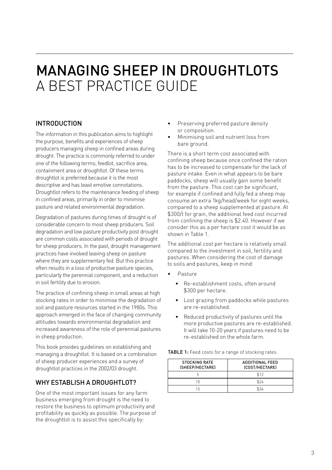# MANAGING SHEEP IN DROUGHTLOTS A BEST PRACTICE GUIDE

## INTRODUCTION

The information in this publication aims to highlight the purpose, benefits and experiences of sheep producers managing sheep in confined areas during drought. The practice is commonly referred to under one of the following terms; feedlot, sacrifice area, containment area or droughtlot. Of these terms droughtlot is preferred because it is the most descriptive and has least emotive connotations. Droughtlot refers to the maintenance feeding of sheep in confined areas, primarily in order to minimise pasture and related environmental degradation.

Degradation of pastures during times of drought is of considerable concern to most sheep producers. Soil degradation and low pasture productivity post drought are common costs associated with periods of drought for sheep producers. In the past, drought management practices have involved leaving sheep on pasture where they are supplementary fed. But this practice often results in a loss of productive pasture species, particularly the perennial component, and a reduction in soil fertility due to erosion.

The practice of confining sheep in small areas at high stocking rates in order to minimise the degradation of soil and pasture resources started in the 1980s. This approach emerged in the face of changing community attitudes towards environmental degradation and increased awareness of the role of perennial pastures in sheep production.

This book provides guidelines on establishing and managing a droughtlot. It is based on a combination of sheep producer experiences and a survey of droughtlot practices in the 2002/03 drought.

## WHY ESTABLISH A DROUGHTLOT?

One of the most important issues for any farm business emerging from drought is the need to restore the business to optimum productivity and profitability as quickly as possible. The purpose of the droughtlot is to assist this specifically by:

- Preserving preferred pasture density or composition.
- Minimising soil and nutrient loss from bare ground.

There is a short term cost associated with confining sheep because once confined the ration has to be increased to compensate for the lack of pasture intake. Even in what appears to be bare paddocks, sheep will usually gain some benefit from the pasture. This cost can be significant, for example if confined and fully fed a sheep may consume an extra 1kg/head/week for eight weeks, compared to a sheep supplemented at pasture. At \$300/t for grain, the additional feed cost incurred from confining the sheep is \$2.40. However if we consider this as a per hectare cost it would be as shown in Table 1.

The additional cost per hectare is relatively small compared to the investment in soil, fertility and pastures. When considering the cost of damage to soils and pastures, keep in mind:

- Pasture
	- Re-establishment costs, often around \$300 per hectare.
	- Lost grazing from paddocks while pastures are re-established.
	- Reduced productivity of pastures until the more productive pastures are re-established. It will take 10-20 years if pastures need to be re-established on the whole farm.

TABLE 1: Feed costs for a range of stocking rates.

| <b>STOCKING RATE</b><br>(SHEEP/HECTARE) | <b>ADDITIONAL FEED</b><br>(COST/HECTARE) |
|-----------------------------------------|------------------------------------------|
|                                         | \$12                                     |
|                                         | \$24                                     |
| 15                                      | \$36                                     |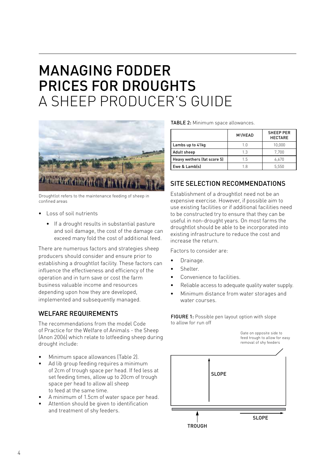## MANAGING FODDER PRICES FOR DROUGHTS A SHEEP PRODUCER'S GUIDE



Droughtlot refers to the maintenance feeding of sheep in confined areas

- Loss of soil nutrients
	- If a drought results in substantial pasture and soil damage, the cost of the damage can exceed many fold the cost of additional feed.

There are numerous factors and strategies sheep producers should consider and ensure prior to establishing a droughtlot facility. These factors can influence the effectiveness and efficiency of the operation and in turn save or cost the farm business valuable income and resources depending upon how they are developed, implemented and subsequently managed.

## WELFARE REQUIREMENTS

The recommendations from the model Code of Practice for the Welfare of Animals - the Sheep (Anon 2006) which relate to lotfeeding sheep during drought include:

- Minimum space allowances (Table 2).
- Ad lib group feeding requires a minimum of 2cm of trough space per head. If fed less at set feeding times, allow up to 20cm of trough space per head to allow all sheep to feed at the same time.
- A minimum of 1.5cm of water space per head.
- Attention should be given to identification and treatment of shy feeders.

|  | <b>TABLE 2:</b> Minimum space allowances. |
|--|-------------------------------------------|
|  |                                           |

|                             | M <sup>2</sup> /HEAD | <b>SHEEP PER</b><br><b>HECTARE</b> |
|-----------------------------|----------------------|------------------------------------|
| Lambs up to 41kg            | 1 N                  | 10,000                             |
| Adult sheep                 | 1.3                  | 7.700                              |
| Heavy wethers (fat score 5) | 15                   | 6.670                              |
| Ewe & Lamb(s)               | 1 R                  | 5,550                              |

## SITE SELECTION RECOMMENDATIONS

Establishment of a droughtlot need not be an expensive exercise. However, if possible aim to use existing facilities or if additional facilities need to be constructed try to ensure that they can be useful in non-drought years. On most farms the droughtlot should be able to be incorporated into existing infrastructure to reduce the cost and increase the return.

Factors to consider are:

- Drainage.
- Shelter.
- Convenience to facilities.
- Reliable access to adequate quality water supply.
- Minimum distance from water storages and water courses.

FIGURE 1: Possible pen layout option with slope to allow for run off

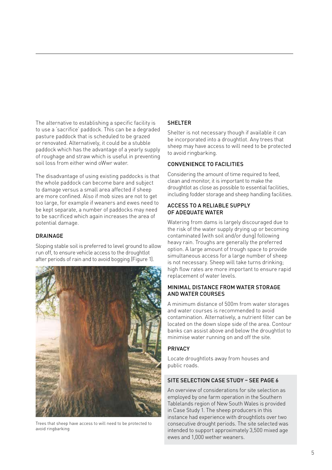The alternative to establishing a specific facility is to use a 'sacrifice' paddock. This can be a degraded pasture paddock that is scheduled to be grazed or renovated. Alternatively, it could be a stubble paddock which has the advantage of a yearly supply of roughage and straw which is useful in preventing soil loss from either wind oWwr water.

The disadvantage of using existing paddocks is that the whole paddock can become bare and subject to damage versus a small area affected if sheep are more confined. Also if mob sizes are not to get too large, for example if weaners and ewes need to be kept separate, a number of paddocks may need to be sacrificed which again increases the area of potential damage.

#### DRAINAGE

Sloping stable soil is preferred to level ground to allow run off, to ensure vehicle access to the droughtlot after periods of rain and to avoid bogging (Figure 1).



Trees that sheep have access to will need to be protected to avoid ringbarking

#### SHELTER

Shelter is not necessary though if available it can be incorporated into a droughtlot. Any trees that sheep may have access to will need to be protected to avoid ringbarking.

#### CONVENIENCE TO FACILITIES

Considering the amount of time required to feed, clean and monitor, it is important to make the droughtlot as close as possible to essential facilities, including fodder storage and sheep handling facilities.

#### ACCESS TO A RELIABLE SUPPLY OF ADEQUATE WATER

Watering from dams is largely discouraged due to the risk of the water supply drying up or becoming contaminated (with soil and/or dung) following heavy rain. Troughs are generally the preferred option. A large amount of trough space to provide simultaneous access for a large number of sheep is not necessary. Sheep will take turns drinking; high flow rates are more important to ensure rapid replacement of water levels.

#### MINIMAL DISTANCE FROM WATER STORAGE AND WATER COURSES

A minimum distance of 500m from water storages and water courses is recommended to avoid contamination. Alternatively, a nutrient filter can be located on the down slope side of the area. Contour banks can assist above and below the droughtlot to minimise water running on and off the site.

#### PRIVACY

Locate droughtlots away from houses and public roads.

### SITE SELECTION CASE STUDY – SEE PAGE 6

An overview of considerations for site selection as employed by one farm operation in the Southern Tablelands region of New South Wales is provided in Case Study 1. The sheep producers in this instance had experience with droughtlots over two consecutive drought periods. The site selected was intended to support approximately 3,500 mixed age ewes and 1,000 wether weaners.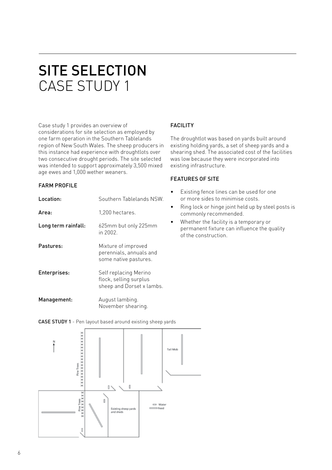# SITE SELECTION CASE STUDY 1

Case study 1 provides an overview of considerations for site selection as employed by one farm operation in the Southern Tablelands region of New South Wales. The sheep producers in this instance had experience with droughtlots over two consecutive drought periods. The site selected was intended to support approximately 3,500 mixed age ewes and 1,000 wether weaners.

#### FARM PROFILE

| Location:           | Southern Tablelands NSW.                                                     |
|---------------------|------------------------------------------------------------------------------|
| Area:               | 1,200 hectares.                                                              |
| Long term rainfall: | 625mm but only 225mm<br>in 2002.                                             |
| Pastures:           | Mixture of improved<br>perennials, annuals and<br>some native pastures.      |
| Enterprises:        | Self replacing Merino<br>flock, selling surplus<br>sheep and Dorset x lambs. |
| Management:         | August lambing.<br>November shearing.                                        |

### FACILITY

The droughtlot was based on yards built around existing holding yards, a set of sheep yards and a shearing shed. The associated cost of the facilities was low because they were incorporated into existing infrastructure.

#### FEATURES OF SITE

- Existing fence lines can be used for one or more sides to minimise costs.
- Ring lock or hinge joint held up by steel posts is commonly recommended.
- Whether the facility is a temporary or permanent fixture can influence the quality of the construction.

CASE STUDY 1 - Pen layout based around existing sheep yards

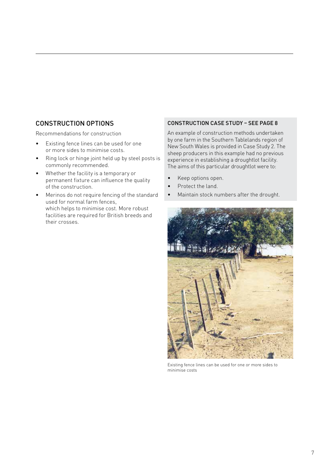## CONSTRUCTION OPTIONS

Recommendations for construction

- Existing fence lines can be used for one or more sides to minimise costs.
- Ring lock or hinge joint held up by steel posts is commonly recommended.
- Whether the facility is a temporary or permanent fixture can influence the quality of the construction.
- Merinos do not require fencing of the standard used for normal farm fences, which helps to minimise cost. More robust facilities are required for British breeds and their crosses.

#### CONSTRUCTION CASE STUDY – SEE PAGE 8

An example of construction methods undertaken by one farm in the Southern Tablelands region of New South Wales is provided in Case Study 2. The sheep producers in this example had no previous experience in establishing a droughtlot facility. The aims of this particular droughtlot were to:

- Keep options open.
- Protect the land.
- Maintain stock numbers after the drought.



Existing fence lines can be used for one or more sides to minimise costs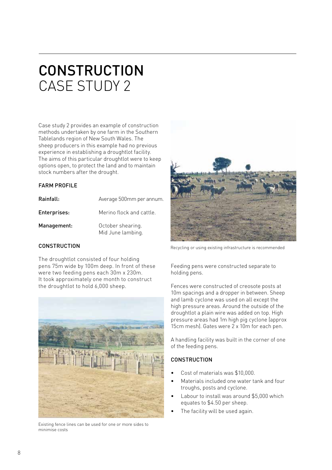# **CONSTRUCTION** CASE STUDY 2

Case study 2 provides an example of construction methods undertaken by one farm in the Southern Tablelands region of New South Wales. The sheep producers in this example had no previous experience in establishing a droughtlot facility. The aims of this particular droughtlot were to keep options open, to protect the land and to maintain stock numbers after the drought.

#### **FARM PROFILE**

| Rainfall:    | Average 500mm per annum.               |
|--------------|----------------------------------------|
| Enterprises: | Merino flock and cattle.               |
| Management:  | October shearing.<br>Mid June lambing. |

### **CONSTRUCTION**

The droughtlot consisted of four holding pens 75m wide by 100m deep. In front of these were two feeding pens each 30m x 230m. It took approximately one month to construct the droughtlot to hold 6,000 sheep.



Existing fence lines can be used for one or more sides to minimise costs



Recycling or using existing infrastructure is recommended

Feeding pens were constructed separate to holding pens.

Fences were constructed of creosote posts at 10m spacings and a dropper in between. Sheep and lamb cyclone was used on all except the high pressure areas. Around the outside of the droughtlot a plain wire was added on top. High pressure areas had 1m high pig cyclone (approx 15cm mesh). Gates were 2 x 10m for each pen.

A handling facility was built in the corner of one of the feeding pens.

## **CONSTRUCTION**

- Cost of materials was \$10,000.
- Materials included one water tank and four troughs, posts and cyclone.
- Labour to install was around \$5,000 which equates to \$4.50 per sheep.
- The facility will be used again.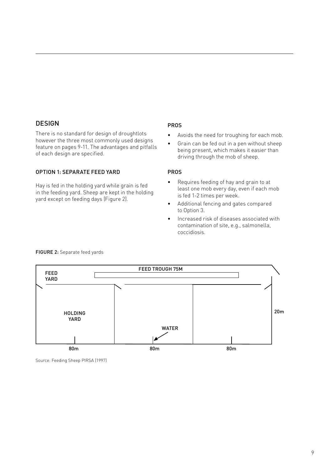### DESIGN

There is no standard for design of droughtlots however the three most commonly used designs feature on pages 9-11. The advantages and pitfalls of each design are specified.

#### OPTION 1: SEPARATE FEED YARD

Hay is fed in the holding yard while grain is fed in the feeding yard. Sheep are kept in the holding yard except on feeding days (Figure 2).

#### PROS

- Avoids the need for troughing for each mob.
- Grain can be fed out in a pen without sheep being present, which makes it easier than driving through the mob of sheep.

#### PROS

- Requires feeding of hay and grain to at least one mob every day, even if each mob is fed 1-2 times per week.
- Additional fencing and gates compared to Option 3.
- Increased risk of diseases associated with contamination of site, e.g., salmonella, coccidiosis.



FIGURE 2: Separate feed yards

Source: Feeding Sheep PIRSA (1997)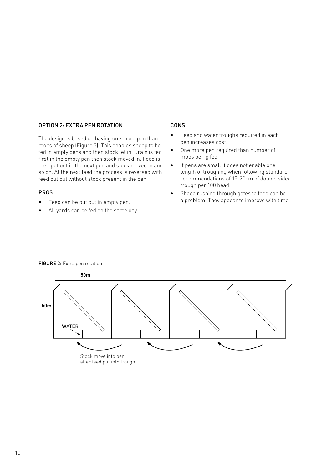#### OPTION 2: EXTRA PEN ROTATION

The design is based on having one more pen than mobs of sheep (Figure 3). This enables sheep to be fed in empty pens and then stock let in. Grain is fed first in the empty pen then stock moved in. Feed is then put out in the next pen and stock moved in and so on. At the next feed the process is reversed with feed put out without stock present in the pen.

#### PROS

- Feed can be put out in empty pen.
- All yards can be fed on the same day.

#### CONS

- Feed and water troughs required in each pen increases cost.
- One more pen required than number of mobs being fed.
- If pens are small it does not enable one length of troughing when following standard recommendations of 15-20cm of double sided trough per 100 head.
- Sheep rushing through gates to feed can be a problem. They appear to improve with time.



#### FIGURE 3: Extra pen rotation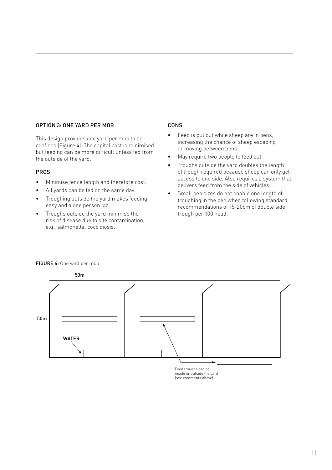#### OPTION 3: ONE YARD PER MOB

This design provides one yard per mob to be confined (Figure 4). The capital cost is minimised but feeding can be more difficult unless fed from the outside of the yard.

#### PROS

- Minimise fence length and therefore cost.
- All yards can be fed on the same day.
- Troughing outside the yard makes feeding easy and a one person job.
- Troughs outside the yard minimise the risk of disease due to site contamination, e.g., salmonella, coccidiosis.

#### CONS

- Feed is put out while sheep are in pens, increasing the chance of sheep escaping or moving between pens.
- May require two people to feed out.
- Troughs outside the yard doubles the length of trough required because sheep can only get access to one side. Also requires a system that delivers feed from the side of vehicles.
- Small pen sizes do not enable one length of troughing in the pen when following standard recommendations of 15-20cm of double side trough per 100 head.



#### FIGURE 4: One yard per mob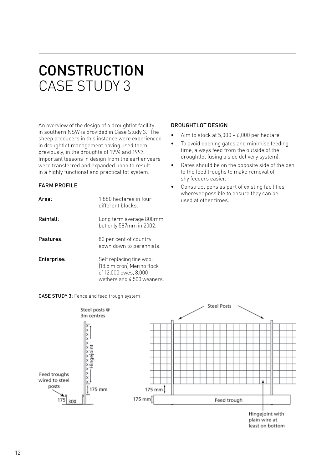# **CONSTRUCTION** CASE STUDY 3

An overview of the design of a droughtlot facility in southern NSW is provided in Case Study 3. The sheep producers in this instance were experienced in droughtlot management having used them previously, in the droughts of 1994 and 1997. Important lessons in design from the earlier years were transferred and expanded upon to result in a highly functional and practical lot system.

### FARM PROFILE

| Area:       | 1,880 hectares in four<br>different blocks                                                                    |
|-------------|---------------------------------------------------------------------------------------------------------------|
| Rainfall:   | Long term average 800mm<br>but only 587mm in 2002.                                                            |
| Pastures:   | 80 per cent of country<br>sown down to perennials.                                                            |
| Enterprise: | Self replacing fine wool<br>[18.5 micron] Merino flock<br>of 12,000 ewes, 8,000<br>wethers and 4,500 weaners. |

#### DROUGHTLOT DESIGN

- Aim to stock at  $5,000 6,000$  per hectare.
- To avoid opening gates and minimise feeding time, always feed from the outside of the droughtlot (using a side delivery system).
- Gates should be on the opposite side of the pen to the feed troughs to make removal of shy feeders easier.
- Construct pens as part of existing facilities wherever possible to ensure they can be used at other times.



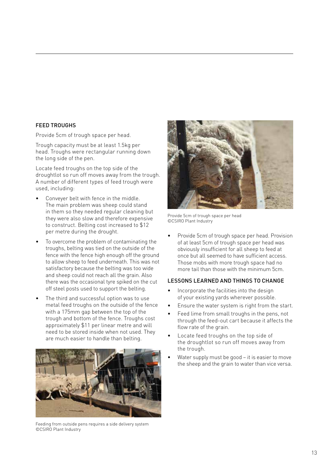#### FEED TROUGHS

Provide 5cm of trough space per head.

Trough capacity must be at least 1.5kg per head. Troughs were rectangular running down the long side of the pen.

Locate feed troughs on the top side of the droughtlot so run off moves away from the trough. A number of different types of feed trough were used, including:

- Conveyer belt with fence in the middle. The main problem was sheep could stand in them so they needed regular cleaning but they were also slow and therefore expensive to construct. Belting cost increased to \$12 per metre during the drought.
- To overcome the problem of contaminating the troughs, belting was tied on the outside of the fence with the fence high enough off the ground to allow sheep to feed underneath. This was not satisfactory because the belting was too wide and sheep could not reach all the grain. Also there was the occasional tyre spiked on the cut off steel posts used to support the belting.
- The third and successful option was to use metal feed troughs on the outside of the fence with a 175mm gap between the top of the trough and bottom of the fence. Troughs cost approximately \$11 per linear metre and will need to be stored inside when not used. They are much easier to handle than belting.



Feeding from outside pens requires a side delivery system ©CSIRO Plant Industry



Provide 5cm of trough space per head ©CSIRO Plant Industry

• Provide 5cm of trough space per head. Provision of at least 5cm of trough space per head was obviously insufficient for all sheep to feed at once but all seemed to have sufficient access. Those mobs with more trough space had no more tail than those with the minimum 5cm.

#### LESSONS LEARNED AND THINGS TO CHANGE

- Incorporate the facilities into the design of your existing yards wherever possible.
- Ensure the water system is right from the start.
- Feed lime from small troughs in the pens, not through the feed-out cart because it affects the flow rate of the grain.
- Locate feed troughs on the top side of the droughtlot so run off moves away from the trough.
- Water supply must be good it is easier to move the sheep and the grain to water than vice versa.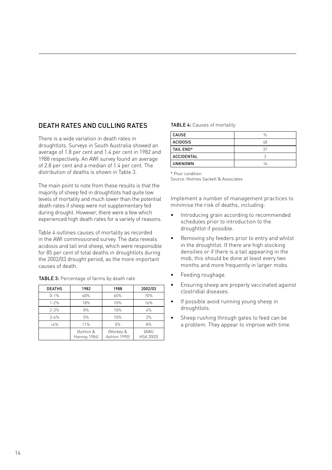## DEATH RATES AND CULLING RATES

There is a wide variation in death rates in droughtlots. Surveys in South Australia showed an average of 1.8 per cent and 1.4 per cent in 1982 and 1988 respectively. An AWI survey found an average of 2.8 per cent and a median of 1.4 per cent. The distribution of deaths is shown in Table 3.

The main point to note from these results is that the majority of sheep fed in droughtlots had quite low levels of mortality and much lower than the potential death rates if sheep were not supplementary fed during drought. However, there were a few which experienced high death rates for a variety of reasons.

Table 4 outlines causes of mortality as recorded in the AWI commissioned survey. The data reveals acidosis and tail end sheep, which were responsible for 85 per cent of total deaths in droughtlots during the 2002/03 drought period, as the more important causes of death.

TABLE 3: Percentage of farms by death rate

| <b>DEATHS</b> | 1982                      | 1988                      | 2002/03            |
|---------------|---------------------------|---------------------------|--------------------|
| $0 - 1%$      | 60%                       | 65%                       | 70%                |
| $1 - 2%$      | 18%                       | 10%                       | 16%                |
| $2 - 3%$      | 8%                        | 10%                       | 4%                 |
| $3 - 4%$      | 5%                        | 10%                       | 2%                 |
| >4%           | 11%                       | 5%                        | 8%                 |
|               | (Ashton &<br>Hannay 1984) | (Morbey &<br>Ashton 1990] | (AWI/<br>HSA 2003) |

#### TABLE 4: Causes of mortality

| <b>CAUSE</b>      | $\%$ |
|-------------------|------|
| <b>ACIDOSIS</b>   | 48   |
| TAIL END*         | 37   |
| <b>ACCIDENTAL</b> |      |
| UNKNOWN           | 16   |

\* Poor condition

Source: Holmes Sackett & Associates

Implement a number of management practices to minimise the risk of deaths, including:

- Introducing grain according to recommended schedules prior to introduction to the droughtlot if possible.
- Removing shy feeders prior to entry and whilst in the droughtlot. If there are high stocking densities or if there is a tail appearing in the mob, this should be done at least every two months and more frequently in larger mobs.
- Feeding roughage.
- Ensuring sheep are properly vaccinated against clostridial diseases.
- If possible avoid running young sheep in droughtlots.
- Sheep rushing through gates to feed can be a problem. They appear to improve with time.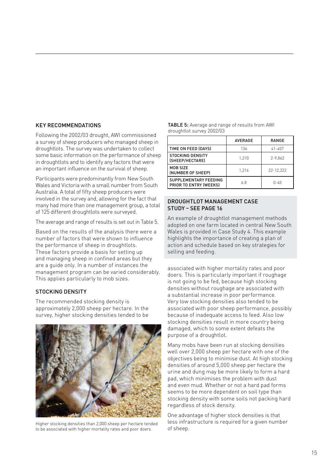#### KEY RECOMMENDATIONS

Following the 2002/03 drought, AWI commissioned a survey of sheep producers who managed sheep in droughtlots. The survey was undertaken to collect some basic information on the performance of sheep in droughtlots and to identify any factors that were an important influence on the survival of sheep.

Participants were predominantly from New South Wales and Victoria with a small number from South Australia. A total of fifty sheep producers were involved in the survey and, allowing for the fact that many had more than one management group, a total of 125 different droughtlots were surveyed.

The average and range of results is set out in Table 5.

Based on the results of the analysis there were a number of factors that were shown to influence the performance of sheep in droughtlots. These factors provide a basis for setting up and managing sheep in confined areas but they are a guide only. In a number of instances the management program can be varied considerably. This applies particularly to mob sizes.

#### STOCKING DENSITY

The recommended stocking density is approximately 2,000 sheep per hectare. In the survey, higher stocking densities tended to be



Higher stocking densities than 2,000 sheep per hectare tended to be associated with higher mortality rates and poor doers

| TABLE 5: Average and range of results from AWI |
|------------------------------------------------|
| droughtlot survey 2002/03                      |

|                                                        | <b>AVERAGE</b> | RANGE       |
|--------------------------------------------------------|----------------|-------------|
| TIME ON FEED (DAYS)                                    | 136            | $41 - 407$  |
| <b>STOCKING DENSITY</b><br>(SHEEP/HECTARE)             | 1.210          | $2 - 9,862$ |
| MOB SIZE<br>(NUMBER OF SHEEP)                          | 1.214          | 22-12.222   |
| SUPPLEMENTARY FEEDING<br><b>PRIOR TO ENTRY (WEEKS)</b> | 68             | $0 - 40$    |

#### DROUGHTLOT MANAGEMENT CASE STUDY – SEE PAGE 16

An example of droughtlot management methods adopted on one farm located in central New South Wales is provided in Case Study 4. This example highlights the importance of creating a plan of action and schedule based on key strategies for selling and feeding.

associated with higher mortality rates and poor doers. This is particularly important if roughage is not going to be fed, because high stocking densities without roughage are associated with a substantial increase in poor performance. Very low stocking densities also tended to be associated with poor sheep performance, possibly because of inadequate access to feed. Also low stocking densities result in more country being damaged, which to some extent defeats the purpose of a droughtlot.

Many mobs have been run at stocking densities well over 2,000 sheep per hectare with one of the objectives being to minimise dust. At high stocking densities of around 5,000 sheep per hectare the urine and dung may be more likely to form a hard pad, which minimises the problem with dust and even mud. Whether or not a hard pad forms seems to be more dependent on soil type than stocking density with some soils not packing hard regardless of stock density.

One advantage of higher stock densities is that less infrastructure is required for a given number of sheep.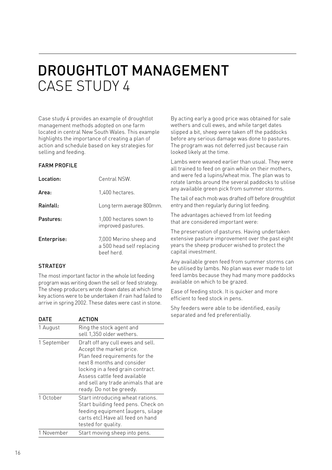# DROUGHTLOT MANAGEMENT CASE STUDY 4

Case study 4 provides an example of droughtlot management methods adopted on one farm located in central New South Wales. This example highlights the importance of creating a plan of action and schedule based on key strategies for selling and feeding.

#### **FARM PROFILE**

| Location:   | Central NSW.                                                      |
|-------------|-------------------------------------------------------------------|
| Area:       | 1,400 hectares.                                                   |
| Rainfall:   | Long term average 800mm.                                          |
| Pastures:   | 1,000 hectares sown to<br>improved pastures.                      |
| Enterprise: | 7,000 Merino sheep and<br>a 500 head self replacing<br>beef herd. |

### **STRATEGY**

The most important factor in the whole lot feeding program was writing down the sell or feed strategy. The sheep producers wrote down dates at which time key actions were to be undertaken if rain had failed to arrive in spring 2002. These dates were cast in stone.

DATE ACTION 1 August Ring the stock agent and sell 1,350 older wethers. 1 September Draft off any cull ewes and sell. Accept the market price. Plan feed requirements for the next 8 months and consider locking in a feed grain contract. Assess cattle feed available and sell any trade animals that are ready. Do not be greedy. 1 October **Start introducing wheat rations.** Start building feed pens. Check on feeding equipment (augers, silage carts etc).Have all feed on hand tested for quality. 1 November Start moving sheep into pens.

By acting early a good price was obtained for sale wethers and cull ewes, and while target dates slipped a bit, sheep were taken off the paddocks before any serious damage was done to pastures. The program was not deferred just because rain looked likely at the time.

Lambs were weaned earlier than usual. They were all trained to feed on grain while on their mothers, and were fed a lupins/wheat mix. The plan was to rotate lambs around the several paddocks to utilise any available green pick from summer storms.

The tail of each mob was drafted off before droughtlot entry and then regularly during lot feeding.

The advantages achieved from lot feeding that are considered important were:

The preservation of pastures. Having undertaken extensive pasture improvement over the past eight years the sheep producer wished to protect the capital investment.

Any available green feed from summer storms can be utilised by lambs. No plan was ever made to lot feed lambs because they had many more paddocks available on which to be grazed.

Ease of feeding stock. It is quicker and more efficient to feed stock in pens.

Shy feeders were able to be identified, easily separated and fed preferentially.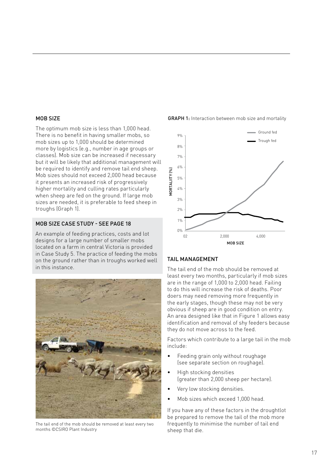#### MOB SIZE

The optimum mob size is less than 1,000 head. There is no benefit in having smaller mobs, so mob sizes up to 1,000 should be determined more by logistics (e.g., number in age groups or classes). Mob size can be increased if necessary but it will be likely that additional management will be required to identify and remove tail end sheep. Mob sizes should not exceed 2,000 head because it presents an increased risk of progressively higher mortality and culling rates particularly when sheep are fed on the ground. If large mob sizes are needed, it is preferable to feed sheep in troughs (Graph 1).

#### MOB SIZE CASE STUDY - SEE PAGE 18

An example of feeding practices, costs and lot designs for a large number of smaller mobs located on a farm in central Victoria is provided in Case Study 5. The practice of feeding the mobs on the ground rather than in troughs worked well in this instance.



The tail end of the mob should be removed at least every two months ©CSIRO Plant Industry

**GRAPH 1:** Interaction between mob size and mortality



### TAIL MANAGEMENT

The tail end of the mob should be removed at least every two months, particularly if mob sizes are in the range of 1,000 to 2,000 head. Failing to do this will increase the risk of deaths. Poor doers may need removing more frequently in the early stages, though these may not be very obvious if sheep are in good condition on entry. An area designed like that in Figure 1 allows easy identification and removal of shy feeders because they do not move across to the feed.

Factors which contribute to a large tail in the mob include:

- Feeding grain only without roughage (see separate section on roughage).
- High stocking densities (greater than 2,000 sheep per hectare).
- Very low stocking densities.
- Mob sizes which exceed 1,000 head.

If you have any of these factors in the droughtlot be prepared to remove the tail of the mob more frequently to minimise the number of tail end sheep that die.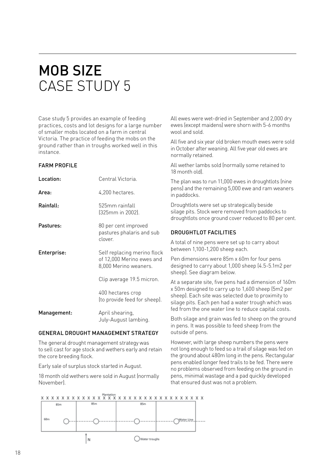# MOB SIZE CASE STUDY 5

Case study 5 provides an example of feeding practices, costs and lot designs for a large number of smaller mobs located on a farm in central Victoria. The practice of feeding the mobs on the ground rather than in troughs worked well in this instance.

#### **FARM PROFILE**

| Location:   | Central Victoria.                                                                 |
|-------------|-----------------------------------------------------------------------------------|
| Area:       | 4,200 hectares.                                                                   |
| Rainfall:   | 525mm rainfall<br>(325mm in 2002).                                                |
| Pastures:   | 80 per cent improved<br>pastures phalaris and sub<br>clover.                      |
| Enterprise: | Self replacing merino flock<br>of 12,000 Merino ewes and<br>8,000 Merino weaners. |
|             | Clip average 19.5 micron.                                                         |
|             | 400 hectares crop<br>(to provide feed for sheep).                                 |
| Management: | April shearing,<br>Julv-August lambing.                                           |

#### GENERAL DROUGHT MANAGEMENT STRATEGY

The general drought management strategy was to sell cast for age stock and wethers early and retain the core breeding flock.

Early sale of surplus stock started in August.

18 month old wethers were sold in August (normally November).

All ewes were wet-dried in September and 2,000 dry ewes (except maidens) were shorn with 5-6 months wool and sold.

All five and six year old broken mouth ewes were sold in October after weaning. All five year old ewes are normally retained.

All wether lambs sold (normally some retained to 18 month old).

The plan was to run 11,000 ewes in droughtlots (nine pens) and the remaining 5,000 ewe and ram weaners in paddocks.

Droughtlots were set up strategically beside silage pits. Stock were removed from paddocks to droughtlots once ground cover reduced to 80 per cent.

#### DROUGHTLOT FACILITIES

A total of nine pens were set up to carry about between 1,100-1,200 sheep each.

Pen dimensions were 85m x 60m for four pens designed to carry about 1,000 sheep (4.5-5.1m2 per sheep). See diagram below.

At a separate site, five pens had a dimension of 160m x 50m designed to carry up to 1,600 sheep (5m2 per sheep). Each site was selected due to proximity to silage pits. Each pen had a water trough which was fed from the one water line to reduce capital costs.

Both silage and grain was fed to sheep on the ground in pens. It was possible to feed sheep from the outside of pens.

However, with large sheep numbers the pens were not long enough to feed so a trail of silage was fed on the ground about 480m long in the pens. Rectangular pens enabled longer feed trails to be fed. There were no problems observed from feeding on the ground in pens, minimal wastage and a pad quickly developed that ensured dust was not a problem.

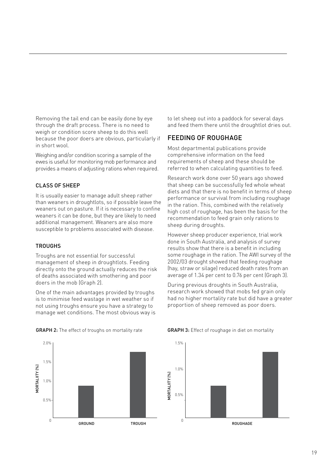Removing the tail end can be easily done by eye through the draft process. There is no need to weigh or condition score sheep to do this well because the poor doers are obvious, particularly if in short wool.

Weighing and/or condition scoring a sample of the ewes is useful for monitoring mob performance and provides a means of adjusting rations when required.

### CLASS OF SHEEP

It is usually easier to manage adult sheep rather than weaners in droughtlots, so if possible leave the weaners out on pasture. If it is necessary to confine weaners it can be done, but they are likely to need additional management. Weaners are also more susceptible to problems associated with disease.

#### **TROUGHS**

Troughs are not essential for successful management of sheep in droughtlots. Feeding directly onto the ground actually reduces the risk of deaths associated with smothering and poor doers in the mob (Graph 2).

One of the main advantages provided by troughs is to minimise feed wastage in wet weather so if not using troughs ensure you have a strategy to manage wet conditions. The most obvious way is

2.0%1.5% MORTALIITY (%) **MORTALIITY [%]** 1.0% 0.5%  $\theta$ GROUND TROUGH to let sheep out into a paddock for several days and feed them there until the droughtlot dries out.

### FEEDING OF ROUGHAGE

Most departmental publications provide comprehensive information on the feed requirements of sheep and these should be referred to when calculating quantities to feed.

Research work done over 50 years ago showed that sheep can be successfully fed whole wheat diets and that there is no benefit in terms of sheep performance or survival from including roughage in the ration. This, combined with the relatively high cost of roughage, has been the basis for the recommendation to feed grain only rations to sheep during droughts.

However sheep producer experience, trial work done in South Australia, and analysis of survey results show that there is a benefit in including some roughage in the ration. The AWI survey of the 2002/03 drought showed that feeding roughage (hay, straw or silage) reduced death rates from an average of 1.34 per cent to 0.76 per cent (Graph 3).

During previous droughts in South Australia, research work showed that mobs fed grain only had no higher mortality rate but did have a greater proportion of sheep removed as poor doers.



#### GRAPH 2: The effect of troughs on mortality rate GRAPH 3: Effect of roughage in diet on mortality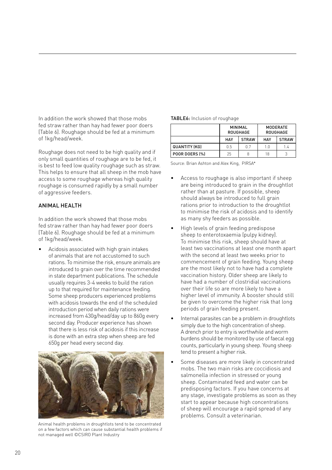In addition the work showed that those mobs fed straw rather than hay had fewer poor doers (Table 6). Roughage should be fed at a minimum of 1kg/head/week.

Roughage does not need to be high quality and if only small quantities of roughage are to be fed, it is best to feed low quality roughage such as straw. This helps to ensure that all sheep in the mob have access to some roughage whereas high quality roughage is consumed rapidly by a small number of aggressive feeders.

#### ANIMAL HEALTH

In addition the work showed that those mobs fed straw rather than hay had fewer poor doers (Table 6). Roughage should be fed at a minimum of 1kg/head/week.

• Acidosis associated with high grain intakes of animals that are not accustomed to such rations. To minimise the risk, ensure animals are introduced to grain over the time recommended in state department publications. The schedule usually requires 3-4 weeks to build the ration up to that required for maintenance feeding. Some sheep producers experienced problems with acidosis towards the end of the scheduled introduction period when daily rations were increased from 430g/head/day up to 860g every second day. Producer experience has shown that there is less risk of acidosis if this increase is done with an extra step when sheep are fed 650g per head every second day.



Animal health problems in droughtlots tend to be concentrated on a few factors which can cause substantial health problems if not managed well ©CSIRO Plant Industry

|                      | <b>MINIMAL</b><br><b>ROUGHAGE</b> |              | MODERATE<br><b>ROUGHAGE</b> |              |
|----------------------|-----------------------------------|--------------|-----------------------------|--------------|
|                      | HAY                               | <b>STRAW</b> | HAY                         | <b>STRAW</b> |
| <b>QUANTITY (KG)</b> | 0.5                               | 07           | 1.0                         | 1.4          |
| POOR DOERS (%)       | 25                                |              | 18                          |              |

Source: Brian Ashton and Alex King, PIRSA\*

- Access to roughage is also important if sheep are being introduced to grain in the droughtlot rather than at pasture. If possible, sheep should always be introduced to full grain rations prior to introduction to the droughtlot to minimise the risk of acidosis and to identify as many shy feeders as possible.
- High levels of grain feeding predispose sheep to enterotoxaemia (pulpy kidney). To minimise this risk, sheep should have at least two vaccinations at least one month apart with the second at least two weeks prior to commencement of grain feeding. Young sheep are the most likely not to have had a complete vaccination history. Older sheep are likely to have had a number of clostridial vaccinations over their life so are more likely to have a higher level of immunity. A booster should still be given to overcome the higher risk that long periods of grain feeding present.
- Internal parasites can be a problem in droughtlots simply due to the high concentration of sheep. A drench prior to entry is worthwhile and worm burdens should be monitored by use of faecal egg counts, particularly in young sheep. Young sheep tend to present a higher risk.
- Some diseases are more likely in concentrated mobs. The two main risks are coccidiosis and salmonella infection in stressed or young sheep. Contaminated feed and water can be predisposing factors. If you have concerns at any stage, investigate problems as soon as they start to appear because high concentrations of sheep will encourage a rapid spread of any problems. Consult a veterinarian.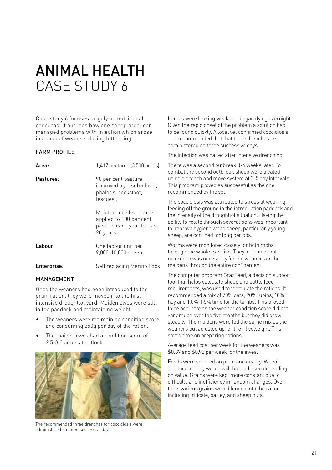# ANIMAL HEALTH CASE STUDY 6

Case study 6 focuses largely on nutritional concerns. It outlines how one sheep producer managed problems with infection which arose in a mob of weaners during lotfeeding.

#### FARM PROFILE

| Area:       | 1,417 hectares (3,500 acres).                                                                 |
|-------------|-----------------------------------------------------------------------------------------------|
| Pastures:   | 90 per cent pasture<br>improved (rye, sub-clover,<br>phalaris, cocksfoot,<br>fescues).        |
|             | Maintenance level super<br>applied to 100 per cent<br>pasture each year for last<br>20 years. |
| Labour:     | One labour unit per<br>9,000-10,000 sheep.                                                    |
| Enterprise: | Self replacing Merino flock                                                                   |

#### **MANAGEMENT**

Once the weaners had been introduced to the grain ration, they were moved into the first intensive droughtlot yard. Maiden ewes were still in the paddock and maintaining weight.

- The weaners were maintaining condition score and consuming 350g per day of the ration.
- The maiden ewes had a condition score of 2.5-3.0 across the flock.



The recommended three drenches for coccidiosis were administered on three successive days

Lambs were looking weak and began dying overnight. Given the rapid onset of the problem a solution had to be found quickly. A local vet confirmed coccidiosis and recommended that that three drenches be administered on three successive days.

The infection was halted after intensive drenching.

There was a second outbreak 3-4 weeks later. To combat the second outbreak sheep were treated using a drench and move system at 3-5 day intervals. This program proved as successful as the one recommended by the vet.

The coccidiosis was attributed to stress at weaning, feeding off the ground in the introduction paddock and the intensity of the droughtlot situation. Having the ability to rotate through several pens was important to improve hygiene when sheep, particularly young sheep, are confined for long periods.

Worms were monitored closely for both mobs through the whole exercise. They indicated that no drench was necessary for the weaners or the maidens through the entire confinement.

The computer program GrazFeed, a decision support tool that helps calculate sheep and cattle feed requirements, was used to formulate the rations. It recommended a mix of 70% oats, 20% lupins, 10% hay and 1.0%-1.5% lime for the lambs. This proved to be accurate as the weaner condition score did not vary much over the five months but they did grow steadily. The maidens were fed the same mix as the weaners but adjusted up for their liveweight. This saved time on preparing rations.

Average feed cost per week for the weaners was \$0.87 and \$0.92 per week for the ewes.

Feeds were sourced on price and quality. Wheat and lucerne hay were available and used depending on value. Grains were kept more constant due to difficulty and inefficiency in random changes. Over time, various grains were blended into the ration including triticale, barley, and sheep nuts.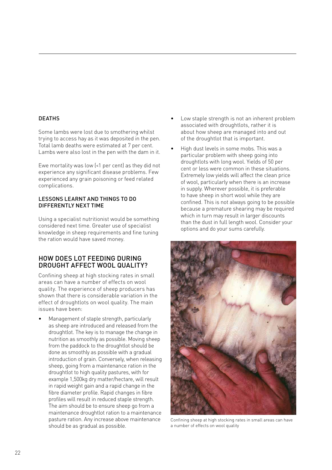#### DEATHS

Some lambs were lost due to smothering whilst trying to access hay as it was deposited in the pen. Total lamb deaths were estimated at 7 per cent. Lambs were also lost in the pen with the dam in it.

Ewe mortality was low (<1 per cent) as they did not experience any significant disease problems. Few experienced any grain poisoning or feed related complications.

#### LESSONS LEARNT AND THINGS TO DO DIFFERENTLY NEXT TIME

Using a specialist nutritionist would be something considered next time. Greater use of specialist knowledge in sheep requirements and fine tuning the ration would have saved money.

### HOW DOES LOT FEEDING DURING DROUGHT AFFECT WOOL QUALITY?

Confining sheep at high stocking rates in small areas can have a number of effects on wool quality. The experience of sheep producers has shown that there is considerable variation in the effect of droughtlots on wool quality. The main issues have been:

• Management of staple strength, particularly as sheep are introduced and released from the droughtlot. The key is to manage the change in nutrition as smoothly as possible. Moving sheep from the paddock to the droughtlot should be done as smoothly as possible with a gradual introduction of grain. Conversely, when releasing sheep, going from a maintenance ration in the droughtlot to high quality pastures, with for example 1,500kg dry matter/hectare, will result in rapid weight gain and a rapid change in the fibre diameter profile. Rapid changes in fibre profiles will result in reduced staple strength. The aim should be to ensure sheep go from a maintenance droughtlot ration to a maintenance pasture ration. Any increase above maintenance should be as gradual as possible.

- Low staple strength is not an inherent problem associated with droughtlots, rather it is about how sheep are managed into and out of the droughtlot that is important.
- High dust levels in some mobs. This was a particular problem with sheep going into droughtlots with long wool. Yields of 50 per cent or less were common in these situations. Extremely low yields will affect the clean price of wool, particularly when there is an increase in supply. Wherever possible, it is preferable to have sheep in short wool while they are confined. This is not always going to be possible because a premature shearing may be required which in turn may result in larger discounts than the dust in full length wool. Consider your options and do your sums carefully.



Confining sheep at high stocking rates in small areas can have a number of effects on wool quality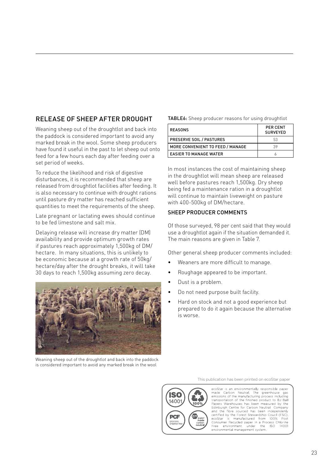## RELEASE OF SHEEP AFTER DROUGHT

Weaning sheep out of the droughtlot and back into the paddock is considered important to avoid any marked break in the wool. Some sheep producers have found it useful in the past to let sheep out onto feed for a few hours each day after feeding over a set period of weeks.

To reduce the likelihood and risk of digestive disturbances, it is recommended that sheep are released from droughtlot facilities after feeding. It is also necessary to continue with drought rations until pasture dry matter has reached sufficient quantities to meet the requirements of the sheep.

Late pregnant or lactating ewes should continue to be fed limestone and salt mix.

Delaying release will increase dry matter (DM) availability and provide optimum growth rates if pastures reach approximately 1,500kg of DM/ hectare. In many situations, this is unlikely to be economic because at a growth rate of 50kg/ hectare/day after the drought breaks, it will take 30 days to reach 1,500kg assuming zero decay.



Weaning sheep out of the droughtlot and back into the paddock is considered important to avoid any marked break in the wool

#### TABLE6: Sheep producer reasons for using droughtlot

| <b>REASONS</b>                   | <b>PER CENT</b><br><b>SURVEYED</b> |
|----------------------------------|------------------------------------|
| <b>PRESERVE SOIL / PASTURES</b>  | 53                                 |
| MORE CONVENIENT TO FEED / MANAGE | 39                                 |
| <b>EASIER TO MANAGE WATER</b>    |                                    |

In most instances the cost of maintaining sheep in the droughtlot will mean sheep are released well before pastures reach 1,500kg. Dry sheep being fed a maintenance ration in a droughtlot will continue to maintain liveweight on pasture with 400-500kg of DM/hectare.

#### SHEEP PRODUCER COMMENTS

Of those surveyed, 98 per cent said that they would use a droughtlot again if the situation demanded it. The main reasons are given in Table 7.

Other general sheep producer comments included:

- Weaners are more difficult to manage.
- Roughage appeared to be important.
- Dust is a problem.
- Do not need purpose built facility.
- Hard on stock and not a good experience but prepared to do it again because the alternative is worse.

This publication has been printed on ecoStar paper



ecoStar is an environmentally responsible paper exponential. The greenhouse gas<br>emissions of the manufacturing process including<br>transportation of the finished product to BJ Ball Papers Warehouses has been measured by the<br>Edinburgh Centre for Carbon Neutral Company Papers wa<br>Edinburgh Ennourgn Centre for Carpon Neutral Comparty<br>and the fibre sourced has been independently<br>certified by the Forest Stewardship Coucil (FSC),<br>ecoStar is manufactured from 100% Post<br>Consumer Recycled paper in a Process Chlorin